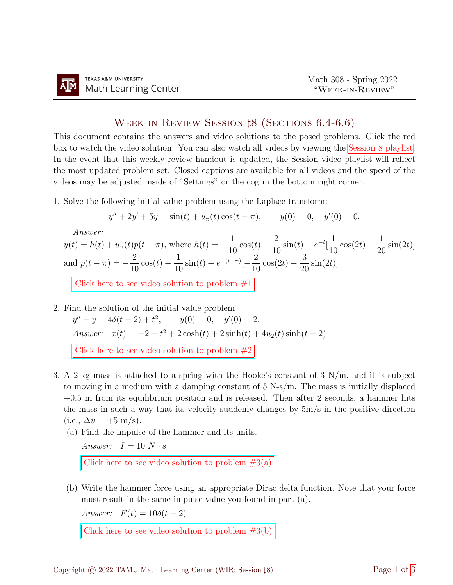## WEEK IN REVIEW SESSION  $\sharp 8$  (Sections 6.4-6.6)

This document contains the answers and video solutions to the posed problems. Click the red box to watch the video solution. You can also watch all videos by viewing the [Session 8 playlist.](https://www.youtube.com/playlist?list=PLwFg2cC3rFdmDX30gS9Nx21srHvBhNfoK) In the event that this weekly review handout is updated, the Session video playlist will reflect the most updated problem set. Closed captions are available for all videos and the speed of the videos may be adjusted inside of "Settings" or the cog in the bottom right corner.

1. Solve the following initial value problem using the Laplace transform:

$$
y'' + 2y' + 5y = \sin(t) + u_{\pi}(t)\cos(t - \pi), \qquad y(0) = 0, \quad y'(0) = 0.
$$

Answer:

 $y(t) = h(t) + u_{\pi}(t)p(t-\pi)$ , where  $h(t) = -\frac{1}{16}$ 10  $cos(t) + \frac{2}{16}$ 10  $\sin(t) + e^{-t}$ 1 10  $\cos(2t) - \frac{1}{2}$ 20  $\sin(2t)$ and  $p(t - \pi) = -\frac{2}{16}$ 10  $\cos(t) - \frac{1}{16}$ 10  $\sin(t) + e^{-(t-\pi)}[-\frac{2}{16}$ 10  $\cos(2t) - \frac{3}{2}$ 20  $\sin(2t)]$ Click here to see video solution to problem  $#1$ 

2. Find the solution of the initial value problem

 $y'' - y = 4\delta(t - 2) + t^2$ ,  $y(0) = 0$ ,  $y'(0) = 2$ . Answer:  $x(t) = -2 - t^2 + 2\cosh(t) + 2\sinh(t) + 4u_2(t)\sinh(t-2)$ 

Click here to see video solution to problem  $#2$ 

- 3. A 2-kg mass is attached to a spring with the Hooke's constant of  $3 \text{ N/m}$ , and it is subject to moving in a medium with a damping constant of  $5 \text{ N-s/m}$ . The mass is initially displaced  $+0.5$  m from its equilibrium position and is released. Then after 2 seconds, a hammer hits the mass in such a way that its velocity suddenly changes by  $5m/s$  in the positive direction (i.e.,  $\Delta v = +5 \text{ m/s}$ ).
	- (a) Find the impulse of the hammer and its units.

Answer:  $I = 10 N \cdot s$ 

Click here to see video solution to problem  $#3(a)$ 

(b) Write the hammer force using an appropriate Dirac delta function. Note that your force must result in the same impulse value you found in part (a).

Answer:  $F(t) = 10\delta(t-2)$ 

Click here to see video solution to problem  $#3(b)$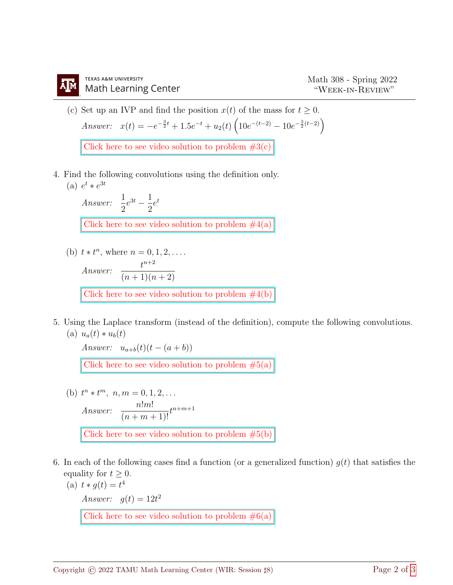(c) Set up an IVP and find the position  $x(t)$  of the mass for  $t \geq 0$ . Answer:  $x(t) = -e^{-\frac{3}{2}t} + 1.5e^{-t} + u_2(t) \left( 10e^{-(t-2)} - 10e^{-\frac{3}{2}(t-2)} \right)$ 

Click here to see video solution to problem  $#3(c)$ 

4. Find the following convolutions using the definition only. (a)  $e^t * e^{3t}$ 

> Answer:  $\frac{1}{2}$ 2  $e^{3t}-\frac{1}{2}$ 2  $e^t$ Click here to see video solution to problem  $#4(a)$

- (b)  $t * t^n$ , where  $n = 0, 1, 2, \ldots$ Answer:  $\frac{t^{n+2}}{(n+1)!}$  $(n+1)(n+2)$ Click here to see video solution to problem  $#4(b)$
- 5. Using the Laplace transform (instead of the definition), compute the following convolutions. (a)  $u_a(t) * u_b(t)$

Answer:  $u_{a+b}(t)(t - (a + b))$ 

Click here to see video solution to problem  $#5(a)$ 

- (b)  $t^n * t^m$ ,  $n, m = 0, 1, 2, \ldots$ Answer:  $\frac{n!m!}{(n-1)!}$  $\frac{n(m)}{(n+m+1)!}t^{n+m+1}$ Click here to see video solution to problem  $#5(b)$
- 6. In each of the following cases find a function (or a generalized function)  $g(t)$  that satisfies the equality for  $t \geq 0$ .
	- (a)  $t * g(t) = t^4$ Answer:  $g(t) = 12t^2$

Click here to see video solution to problem  $\#6(a)$